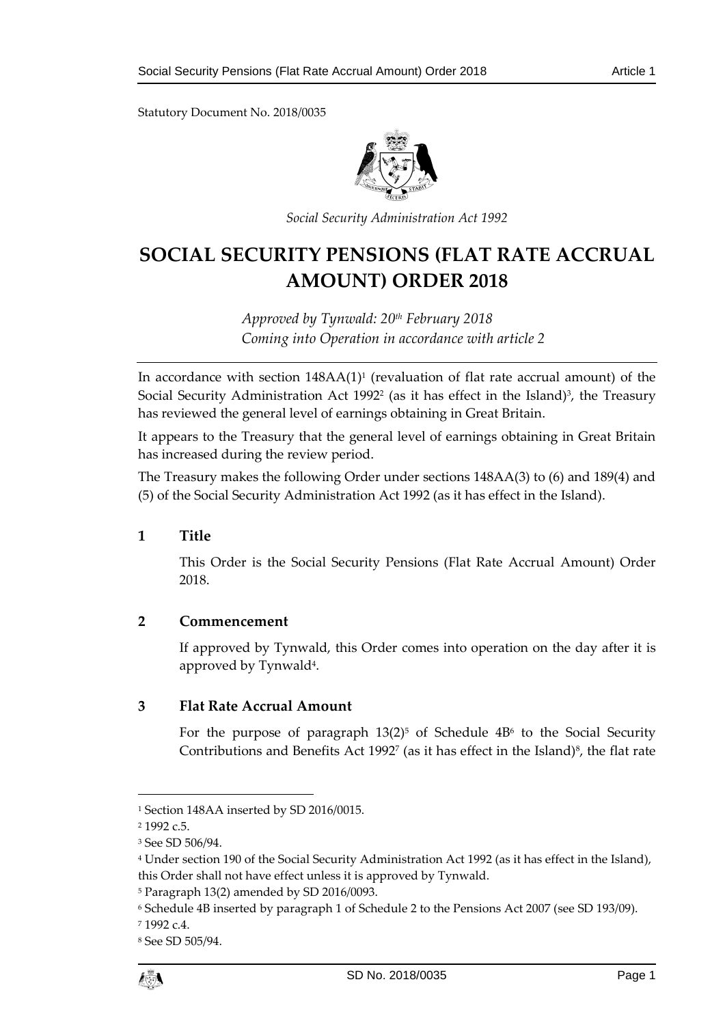Statutory Document No. 2018/0035



*Social Security Administration Act 1992*

# **SOCIAL SECURITY PENSIONS (FLAT RATE ACCRUAL AMOUNT) ORDER 2018**

*Approved by Tynwald: 20th February 2018 Coming into Operation in accordance with article 2*

In accordance with section 148AA(1)<sup>1</sup> (revaluation of flat rate accrual amount) of the Social Security Administration Act 1992<sup>2</sup> (as it has effect in the Island)<sup>3</sup>, the Treasury has reviewed the general level of earnings obtaining in Great Britain.

It appears to the Treasury that the general level of earnings obtaining in Great Britain has increased during the review period.

The Treasury makes the following Order under sections 148AA(3) to (6) and 189(4) and (5) of the Social Security Administration Act 1992 (as it has effect in the Island).

## **1 Title**

This Order is the Social Security Pensions (Flat Rate Accrual Amount) Order 2018.

## **2 Commencement**

If approved by Tynwald, this Order comes into operation on the day after it is approved by Tynwald<sup>4</sup> .

## **3 Flat Rate Accrual Amount**

For the purpose of paragraph  $13(2)^5$  of Schedule  $4B^6$  to the Social Security Contributions and Benefits Act 1992<sup>7</sup> (as it has effect in the Island)<sup>8</sup>, the flat rate

1

<sup>1</sup> Section 148AA inserted by SD 2016/0015.

<sup>2</sup> 1992 c.5.

<sup>3</sup> See SD 506/94.

<sup>4</sup> Under section 190 of the Social Security Administration Act 1992 (as it has effect in the Island), this Order shall not have effect unless it is approved by Tynwald.

<sup>5</sup> Paragraph 13(2) amended by SD 2016/0093.

<sup>6</sup> Schedule 4B inserted by paragraph 1 of Schedule 2 to the Pensions Act 2007 (see SD 193/09).

<sup>7</sup> 1992 c.4.

<sup>8</sup> See SD 505/94.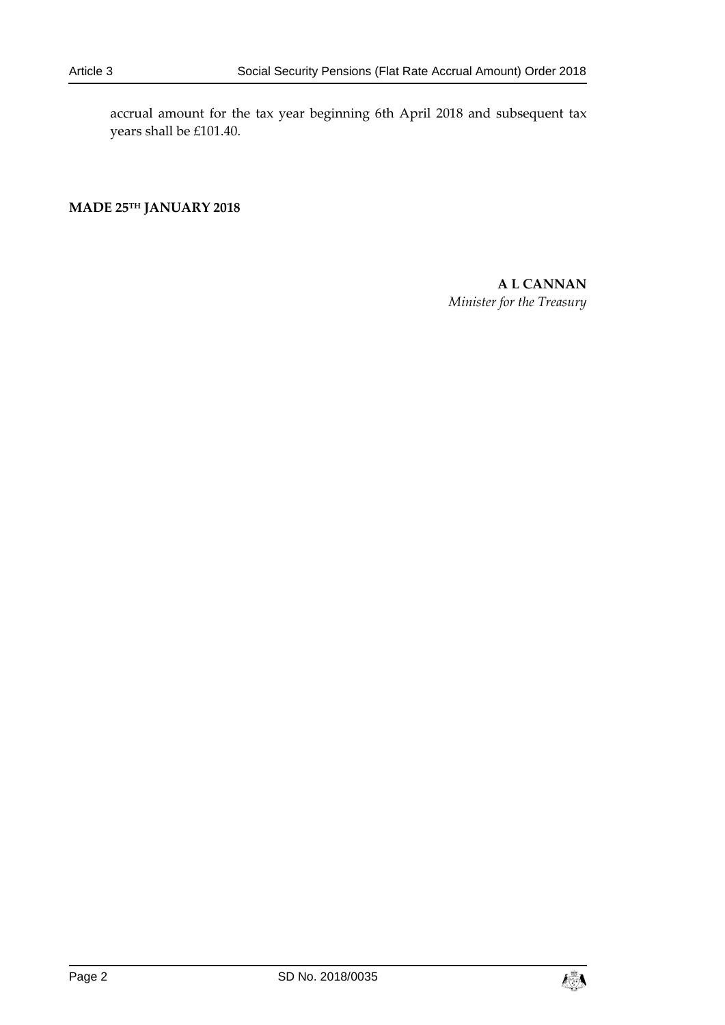accrual amount for the tax year beginning 6th April 2018 and subsequent tax years shall be £101.40.

**MADE 25TH JANUARY 2018**

**A L CANNAN** *Minister for the Treasury*